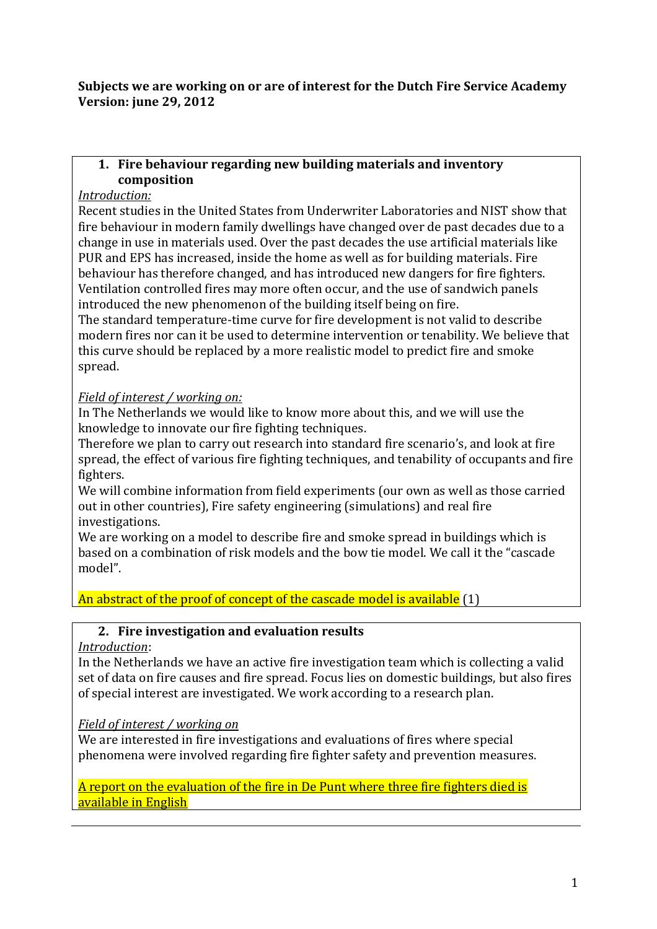#### **Subjects we are working on or are of interest for the Dutch Fire Service Academy Version: june 29, 2012**

#### **1. Fire behaviour regarding new building materials and inventory composition**

## *Introduction:*

Recent studies in the United States from Underwriter Laboratories and NIST show that fire behaviour in modern family dwellings have changed over de past decades due to a change in use in materials used. Over the past decades the use artificial materials like PUR and EPS has increased, inside the home as well as for building materials. Fire behaviour has therefore changed, and has introduced new dangers for fire fighters. Ventilation controlled fires may more often occur, and the use of sandwich panels introduced the new phenomenon of the building itself being on fire.

The standard temperature-time curve for fire development is not valid to describe modern fires nor can it be used to determine intervention or tenability. We believe that this curve should be replaced by a more realistic model to predict fire and smoke spread.

## *Field of interest / working on:*

In The Netherlands we would like to know more about this, and we will use the knowledge to innovate our fire fighting techniques.

Therefore we plan to carry out research into standard fire scenario's, and look at fire spread, the effect of various fire fighting techniques, and tenability of occupants and fire fighters.

We will combine information from field experiments (our own as well as those carried out in other countries), Fire safety engineering (simulations) and real fire investigations.

We are working on a model to describe fire and smoke spread in buildings which is based on a combination of risk models and the bow tie model. We call it the "cascade model".

An abstract of the proof of concept of the cascade model is available (1)

## **2. Fire investigation and evaluation results**

## *Introduction*:

In the Netherlands we have an active fire investigation team which is collecting a valid set of data on fire causes and fire spread. Focus lies on domestic buildings, but also fires of special interest are investigated. We work according to a research plan.

## *Field of interest / working on*

We are interested in fire investigations and evaluations of fires where special phenomena were involved regarding fire fighter safety and prevention measures.

A report on the evaluation of the fire in De Punt where three fire fighters died is available in English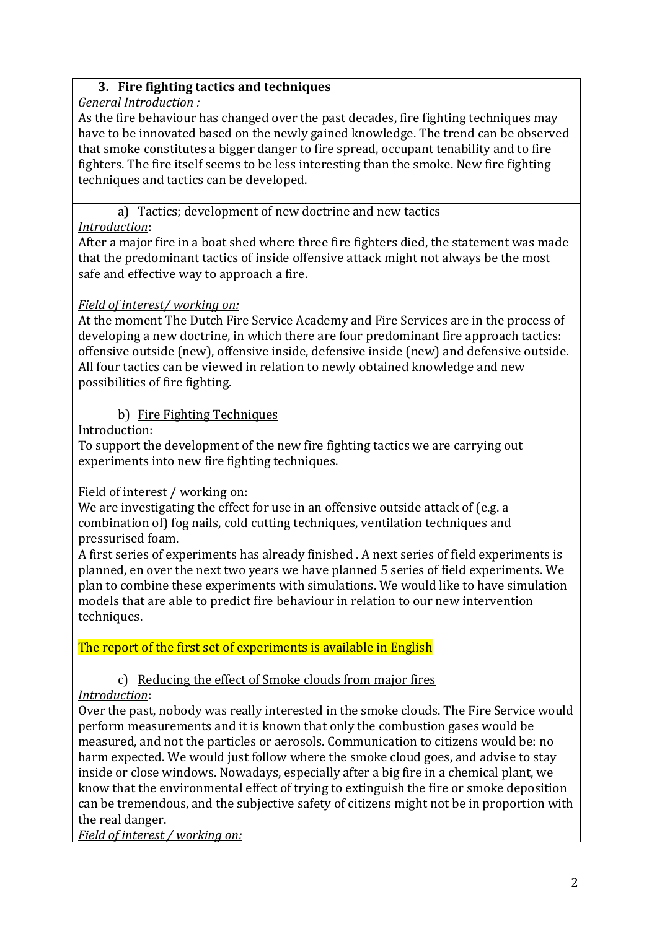## **3. Fire fighting tactics and techniques**

## *General Introduction :*

As the fire behaviour has changed over the past decades, fire fighting techniques may have to be innovated based on the newly gained knowledge. The trend can be observed that smoke constitutes a bigger danger to fire spread, occupant tenability and to fire fighters. The fire itself seems to be less interesting than the smoke. New fire fighting techniques and tactics can be developed.

## a) Tactics; development of new doctrine and new tactics

## *Introduction*:

After a major fire in a boat shed where three fire fighters died, the statement was made that the predominant tactics of inside offensive attack might not always be the most safe and effective way to approach a fire.

## *Field of interest/ working on:*

At the moment The Dutch Fire Service Academy and Fire Services are in the process of developing a new doctrine, in which there are four predominant fire approach tactics: offensive outside (new), offensive inside, defensive inside (new) and defensive outside. All four tactics can be viewed in relation to newly obtained knowledge and new possibilities of fire fighting.

## b) Fire Fighting Techniques

Introduction:

To support the development of the new fire fighting tactics we are carrying out experiments into new fire fighting techniques.

Field of interest / working on:

We are investigating the effect for use in an offensive outside attack of (e.g. a combination of) fog nails, cold cutting techniques, ventilation techniques and pressurised foam.

A first series of experiments has already finished . A next series of field experiments is planned, en over the next two years we have planned 5 series of field experiments. We plan to combine these experiments with simulations. We would like to have simulation models that are able to predict fire behaviour in relation to our new intervention techniques.

The report of the first set of experiments is available in English

## c) Reducing the effect of Smoke clouds from major fires

*Introduction*:

Over the past, nobody was really interested in the smoke clouds. The Fire Service would perform measurements and it is known that only the combustion gases would be measured, and not the particles or aerosols. Communication to citizens would be: no harm expected. We would just follow where the smoke cloud goes, and advise to stay inside or close windows. Nowadays, especially after a big fire in a chemical plant, we know that the environmental effect of trying to extinguish the fire or smoke deposition can be tremendous, and the subjective safety of citizens might not be in proportion with the real danger.

*Field of interest / working on:*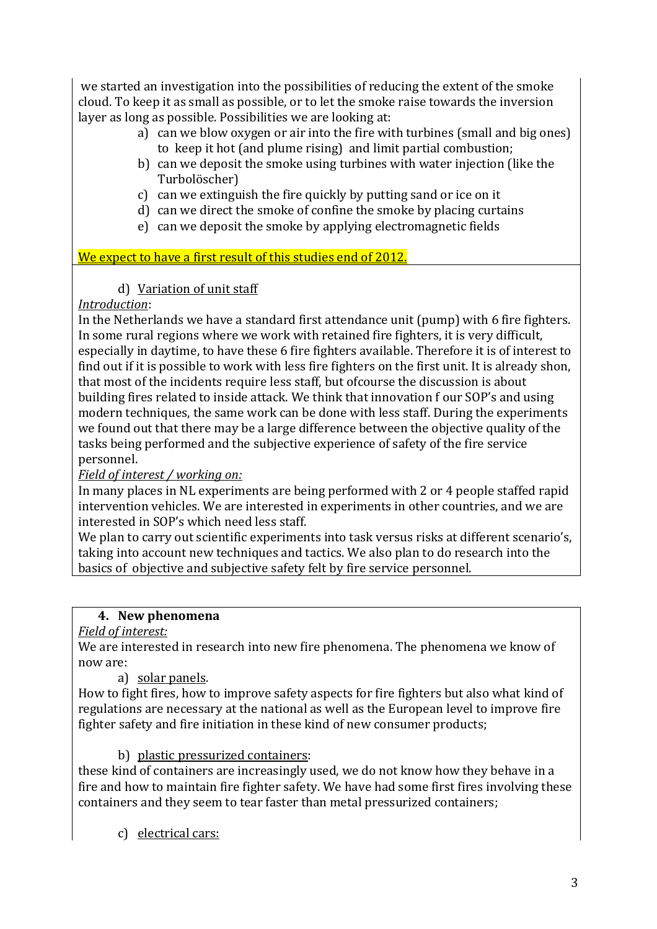we started an investigation into the possibilities of reducing the extent of the smoke cloud. To keep it as small as possible, or to let the smoke raise towards the inversion layer as long as possible. Possibilities we are looking at:

- a) can we blow oxygen or air into the fire with turbines (small and big ones) to keep it hot (and plume rising) and limit partial combustion;
- b) can we deposit the smoke using turbines with water injection (like the Turbolöscher)
- c) can we extinguish the fire quickly by putting sand or ice on it
- d) can we direct the smoke of confine the smoke by placing curtains
- e) can we deposit the smoke by applying electromagnetic fields

We expect to have a first result of this studies end of 2012.

d) Variation of unit staff

## *Introduction*:

In the Netherlands we have a standard first attendance unit (pump) with 6 fire fighters. In some rural regions where we work with retained fire fighters, it is very difficult, especially in daytime, to have these 6 fire fighters available. Therefore it is of interest to find out if it is possible to work with less fire fighters on the first unit. It is already shon, that most of the incidents require less staff, but ofcourse the discussion is about building fires related to inside attack. We think that innovation f our SOP's and using modern techniques, the same work can be done with less staff. During the experiments we found out that there may be a large difference between the objective quality of the tasks being performed and the subjective experience of safety of the fire service personnel.

## *Field of interest / working on:*

In many places in NL experiments are being performed with 2 or 4 people staffed rapid intervention vehicles. We are interested in experiments in other countries, and we are interested in SOP's which need less staff.

We plan to carry out scientific experiments into task versus risks at different scenario's, taking into account new techniques and tactics. We also plan to do research into the basics of objective and subjective safety felt by fire service personnel.

## **4. New phenomena**

*Field of interest:*

We are interested in research into new fire phenomena. The phenomena we know of now are:

a) solar panels.

How to fight fires, how to improve safety aspects for fire fighters but also what kind of regulations are necessary at the national as well as the European level to improve fire fighter safety and fire initiation in these kind of new consumer products;

b) plastic pressurized containers:

these kind of containers are increasingly used, we do not know how they behave in a fire and how to maintain fire fighter safety. We have had some first fires involving these containers and they seem to tear faster than metal pressurized containers;

c) electrical cars: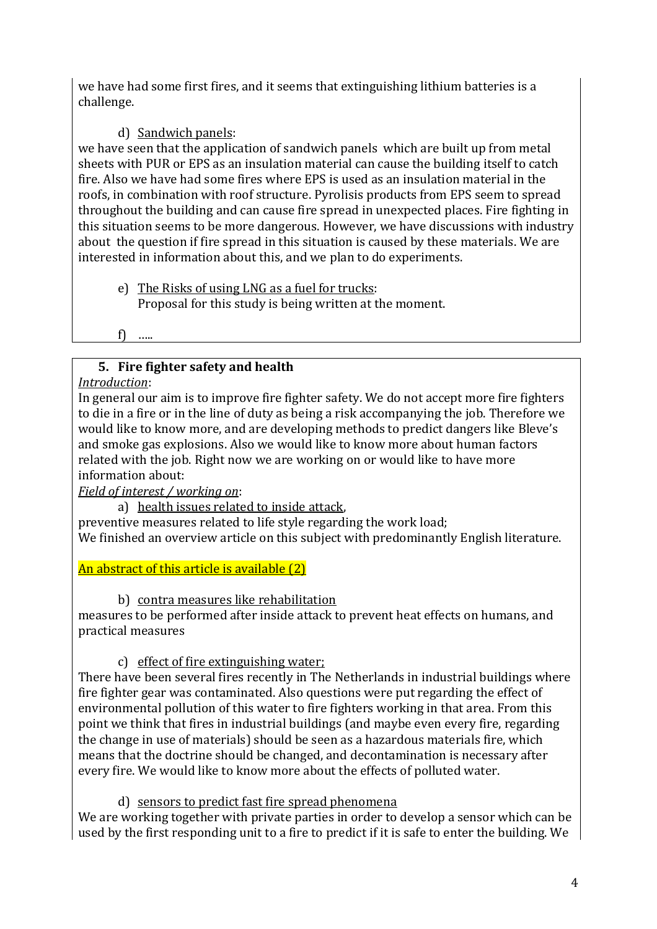we have had some first fires, and it seems that extinguishing lithium batteries is a challenge.

## d) Sandwich panels:

we have seen that the application of sandwich panels which are built up from metal sheets with PUR or EPS as an insulation material can cause the building itself to catch fire. Also we have had some fires where EPS is used as an insulation material in the roofs, in combination with roof structure. Pyrolisis products from EPS seem to spread throughout the building and can cause fire spread in unexpected places. Fire fighting in this situation seems to be more dangerous. However, we have discussions with industry about the question if fire spread in this situation is caused by these materials. We are interested in information about this, and we plan to do experiments.

e) The Risks of using LNG as a fuel for trucks: Proposal for this study is being written at the moment.

f) …..

## **5. Fire fighter safety and health**

#### *Introduction*:

In general our aim is to improve fire fighter safety. We do not accept more fire fighters to die in a fire or in the line of duty as being a risk accompanying the job. Therefore we would like to know more, and are developing methods to predict dangers like Bleve's and smoke gas explosions. Also we would like to know more about human factors related with the job. Right now we are working on or would like to have more information about:

## *Field of interest / working on*:

a) health issues related to inside attack,

preventive measures related to life style regarding the work load; We finished an overview article on this subject with predominantly English literature.

An abstract of this article is available (2)

## b) contra measures like rehabilitation

measures to be performed after inside attack to prevent heat effects on humans, and practical measures

## c) effect of fire extinguishing water;

There have been several fires recently in The Netherlands in industrial buildings where fire fighter gear was contaminated. Also questions were put regarding the effect of environmental pollution of this water to fire fighters working in that area. From this point we think that fires in industrial buildings (and maybe even every fire, regarding the change in use of materials) should be seen as a hazardous materials fire, which means that the doctrine should be changed, and decontamination is necessary after every fire. We would like to know more about the effects of polluted water.

d) sensors to predict fast fire spread phenomena

We are working together with private parties in order to develop a sensor which can be used by the first responding unit to a fire to predict if it is safe to enter the building. We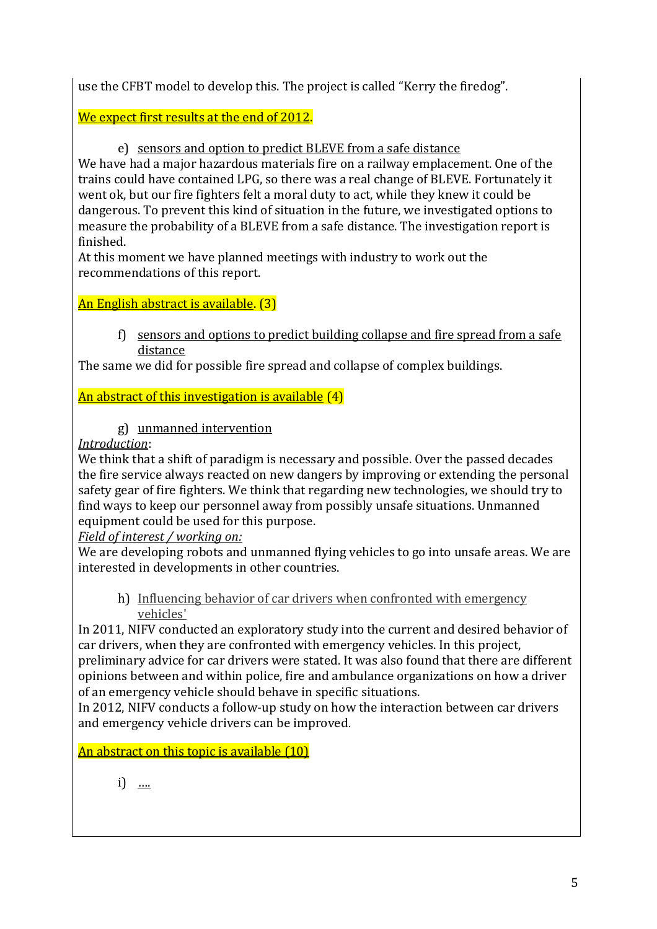use the CFBT model to develop this. The project is called "Kerry the firedog".

We expect first results at the end of 2012.

e) sensors and option to predict BLEVE from a safe distance

We have had a major hazardous materials fire on a railway emplacement. One of the trains could have contained LPG, so there was a real change of BLEVE. Fortunately it went ok, but our fire fighters felt a moral duty to act, while they knew it could be dangerous. To prevent this kind of situation in the future, we investigated options to measure the probability of a BLEVE from a safe distance. The investigation report is finished.

At this moment we have planned meetings with industry to work out the recommendations of this report.

An English abstract is available. (3)

f) sensors and options to predict building collapse and fire spread from a safe distance

The same we did for possible fire spread and collapse of complex buildings.

An abstract of this investigation is available (4)

g) unmanned intervention

*Introduction*:

We think that a shift of paradigm is necessary and possible. Over the passed decades the fire service always reacted on new dangers by improving or extending the personal safety gear of fire fighters. We think that regarding new technologies, we should try to find ways to keep our personnel away from possibly unsafe situations. Unmanned equipment could be used for this purpose.

*Field of interest / working on:*

We are developing robots and unmanned flying vehicles to go into unsafe areas. We are interested in developments in other countries.

h) Influencing behavior of car drivers when confronted with emergency vehicles'

In 2011, NIFV conducted an exploratory study into the current and desired behavior of car drivers, when they are confronted with emergency vehicles. In this project, preliminary advice for car drivers were stated. It was also found that there are different opinions between and within police, fire and ambulance organizations on how a driver of an emergency vehicle should behave in specific situations.

In 2012, NIFV conducts a follow-up study on how the interaction between car drivers and emergency vehicle drivers can be improved.

An abstract on this topic is available (10)

i) <u>….</u>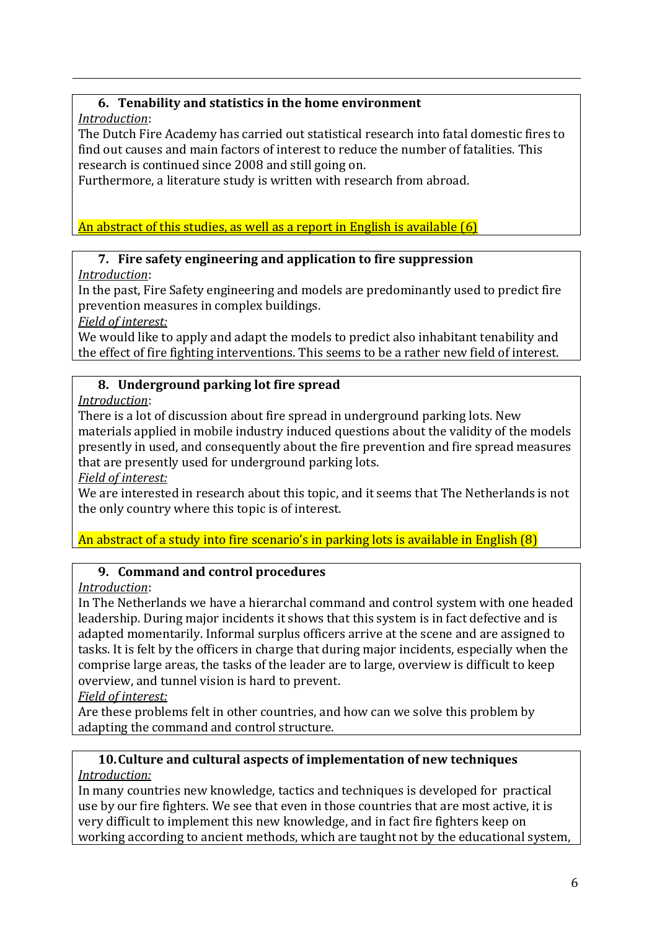## **6. Tenability and statistics in the home environment**

*Introduction*:

The Dutch Fire Academy has carried out statistical research into fatal domestic fires to find out causes and main factors of interest to reduce the number of fatalities. This research is continued since 2008 and still going on.

Furthermore, a literature study is written with research from abroad.

An abstract of this studies, as well as a report in English is available (6)

#### **7. Fire safety engineering and application to fire suppression**

*Introduction*:

In the past, Fire Safety engineering and models are predominantly used to predict fire prevention measures in complex buildings.

*Field of interest:*

We would like to apply and adapt the models to predict also inhabitant tenability and the effect of fire fighting interventions. This seems to be a rather new field of interest.

## **8. Underground parking lot fire spread**

*Introduction*:

There is a lot of discussion about fire spread in underground parking lots. New materials applied in mobile industry induced questions about the validity of the models presently in used, and consequently about the fire prevention and fire spread measures that are presently used for underground parking lots.

*Field of interest:*

We are interested in research about this topic, and it seems that The Netherlands is not the only country where this topic is of interest.

An abstract of a study into fire scenario's in parking lots is available in English (8)

## **9. Command and control procedures**

*Introduction*:

In The Netherlands we have a hierarchal command and control system with one headed leadership. During major incidents it shows that this system is in fact defective and is adapted momentarily. Informal surplus officers arrive at the scene and are assigned to tasks. It is felt by the officers in charge that during major incidents, especially when the comprise large areas, the tasks of the leader are to large, overview is difficult to keep overview, and tunnel vision is hard to prevent.

*Field of interest:*

Are these problems felt in other countries, and how can we solve this problem by adapting the command and control structure.

#### **10.Culture and cultural aspects of implementation of new techniques** *Introduction:*

In many countries new knowledge, tactics and techniques is developed for practical use by our fire fighters. We see that even in those countries that are most active, it is very difficult to implement this new knowledge, and in fact fire fighters keep on working according to ancient methods, which are taught not by the educational system,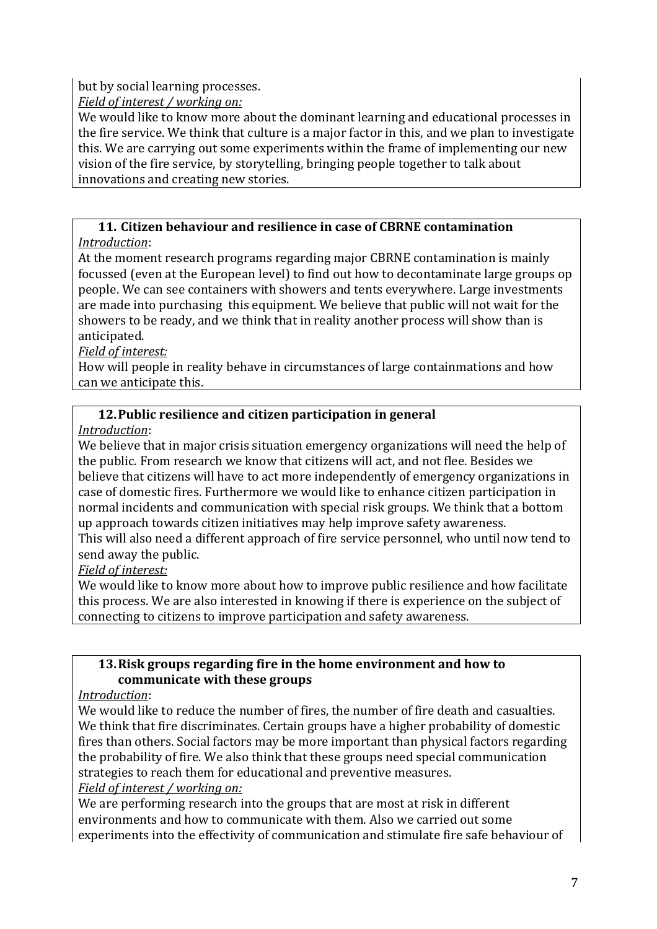but by social learning processes.

*Field of interest / working on:*

We would like to know more about the dominant learning and educational processes in the fire service. We think that culture is a major factor in this, and we plan to investigate this. We are carrying out some experiments within the frame of implementing our new vision of the fire service, by storytelling, bringing people together to talk about innovations and creating new stories.

#### **11. Citizen behaviour and resilience in case of CBRNE contamination** *Introduction*:

At the moment research programs regarding major CBRNE contamination is mainly focussed (even at the European level) to find out how to decontaminate large groups op people. We can see containers with showers and tents everywhere. Large investments are made into purchasing this equipment. We believe that public will not wait for the showers to be ready, and we think that in reality another process will show than is anticipated.

## *Field of interest:*

How will people in reality behave in circumstances of large containmations and how can we anticipate this.

## **12.Public resilience and citizen participation in general**

*Introduction*:

We believe that in major crisis situation emergency organizations will need the help of the public. From research we know that citizens will act, and not flee. Besides we believe that citizens will have to act more independently of emergency organizations in case of domestic fires. Furthermore we would like to enhance citizen participation in normal incidents and communication with special risk groups. We think that a bottom up approach towards citizen initiatives may help improve safety awareness.

This will also need a different approach of fire service personnel, who until now tend to send away the public.

## *Field of interest:*

We would like to know more about how to improve public resilience and how facilitate this process. We are also interested in knowing if there is experience on the subject of connecting to citizens to improve participation and safety awareness.

## **13.Risk groups regarding fire in the home environment and how to communicate with these groups**

## *Introduction*:

We would like to reduce the number of fires, the number of fire death and casualties. We think that fire discriminates. Certain groups have a higher probability of domestic fires than others. Social factors may be more important than physical factors regarding the probability of fire. We also think that these groups need special communication strategies to reach them for educational and preventive measures. *Field of interest / working on:*

We are performing research into the groups that are most at risk in different environments and how to communicate with them. Also we carried out some experiments into the effectivity of communication and stimulate fire safe behaviour of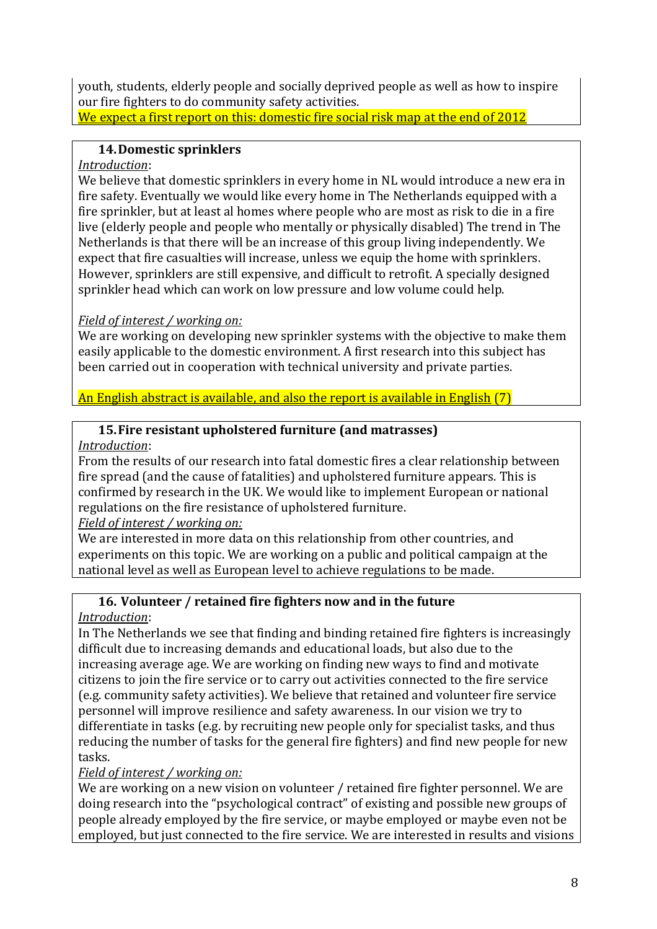youth, students, elderly people and socially deprived people as well as how to inspire our fire fighters to do community safety activities.

We expect a first report on this: domestic fire social risk map at the end of 2012

# **14.Domestic sprinklers**

# *Introduction*:

We believe that domestic sprinklers in every home in NL would introduce a new era in fire safety. Eventually we would like every home in The Netherlands equipped with a fire sprinkler, but at least al homes where people who are most as risk to die in a fire live (elderly people and people who mentally or physically disabled) The trend in The Netherlands is that there will be an increase of this group living independently. We expect that fire casualties will increase, unless we equip the home with sprinklers. However, sprinklers are still expensive, and difficult to retrofit. A specially designed sprinkler head which can work on low pressure and low volume could help.

# *Field of interest / working on:*

We are working on developing new sprinkler systems with the objective to make them easily applicable to the domestic environment. A first research into this subject has been carried out in cooperation with technical university and private parties.

An English abstract is available, and also the report is available in English (7)

# **15.Fire resistant upholstered furniture (and matrasses)**

# *Introduction*:

From the results of our research into fatal domestic fires a clear relationship between fire spread (and the cause of fatalities) and upholstered furniture appears. This is confirmed by research in the UK. We would like to implement European or national regulations on the fire resistance of upholstered furniture.

# *Field of interest / working on:*

We are interested in more data on this relationship from other countries, and experiments on this topic. We are working on a public and political campaign at the national level as well as European level to achieve regulations to be made.

# **16. Volunteer / retained fire fighters now and in the future**

# *Introduction*:

In The Netherlands we see that finding and binding retained fire fighters is increasingly difficult due to increasing demands and educational loads, but also due to the increasing average age. We are working on finding new ways to find and motivate citizens to join the fire service or to carry out activities connected to the fire service (e.g. community safety activities). We believe that retained and volunteer fire service personnel will improve resilience and safety awareness. In our vision we try to differentiate in tasks (e.g. by recruiting new people only for specialist tasks, and thus reducing the number of tasks for the general fire fighters) and find new people for new tasks.

*Field of interest / working on:*

We are working on a new vision on volunteer / retained fire fighter personnel. We are doing research into the "psychological contract" of existing and possible new groups of people already employed by the fire service, or maybe employed or maybe even not be employed, but just connected to the fire service. We are interested in results and visions